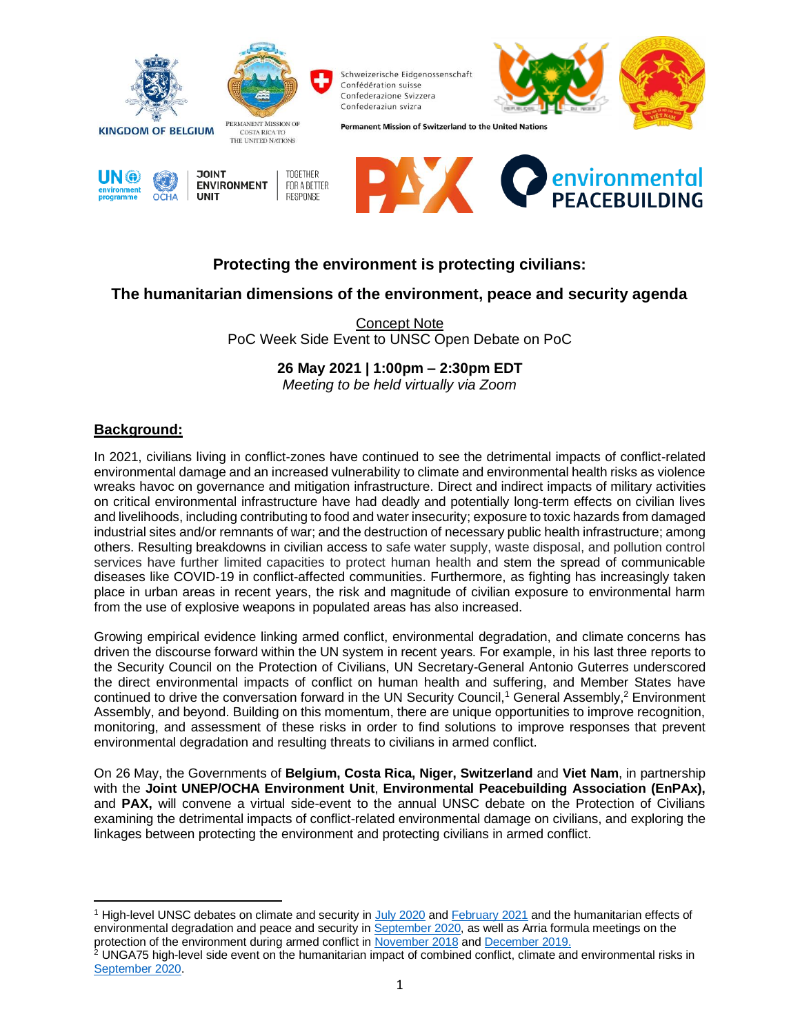

# **Protecting the environment is protecting civilians:**

## **The humanitarian dimensions of the environment, peace and security agenda**

Concept Note PoC Week Side Event to UNSC Open Debate on PoC

#### **26 May 2021 | 1:00pm – 2:30pm EDT**

*Meeting to be held virtually via Zoom* 

#### **Background:**

In 2021, civilians living in conflict-zones have continued to see the detrimental impacts of conflict-related environmental damage and an increased vulnerability to climate and environmental health risks as violence wreaks havoc on governance and mitigation infrastructure. Direct and indirect impacts of military activities on critical environmental infrastructure have had deadly and potentially long-term effects on civilian lives and livelihoods, including contributing to food and water insecurity; exposure to toxic hazards from damaged industrial sites and/or remnants of war; and the destruction of necessary public health infrastructure; among others. Resulting breakdowns in civilian access to safe water supply, waste disposal, and pollution control services have further limited capacities to protect human health and stem the spread of communicable diseases like COVID-19 in conflict-affected communities. Furthermore, as fighting has increasingly taken place in urban areas in recent years, the risk and magnitude of civilian exposure to environmental harm from the use of explosive weapons in populated areas has also increased.

Growing empirical evidence linking armed conflict, environmental degradation, and climate concerns has driven the discourse forward within the UN system in recent years. For example, in his last three reports to the Security Council on the Protection of Civilians, UN Secretary-General Antonio Guterres underscored the direct environmental impacts of conflict on human health and suffering, and Member States have continued to drive the conversation forward in the UN Security Council,<sup>1</sup> General Assembly,<sup>2</sup> Environment Assembly, and beyond. Building on this momentum, there are unique opportunities to improve recognition, monitoring, and assessment of these risks in order to find solutions to improve responses that prevent environmental degradation and resulting threats to civilians in armed conflict.

On 26 May, the Governments of **Belgium, Costa Rica, Niger, Switzerland** and **Viet Nam**, in partnership with the **Joint UNEP/OCHA Environment Unit**, **Environmental Peacebuilding Association (EnPAx),** and **PAX,** will convene a virtual side-event to the annual UNSC debate on the Protection of Civilians examining the detrimental impacts of conflict-related environmental damage on civilians, and exploring the linkages between protecting the environment and protecting civilians in armed conflict.

<sup>&</sup>lt;sup>1</sup> High-level UNSC debates on climate and security in [July 2020](http://webtv.un.org/search/maintenance-of-international-peace-and-security-climate-and-security-security-council-open-vtc/6174906506001/?term=2020-07-24&sort=date) an[d February 2021](http://webtv.un.org/search/maintenance-of-international-peace-and-security-climate-and-security-security-council-open-vtc/6234686966001/?term=climate%20and%20security&sort=date) and the humanitarian effects of environmental degradation and peace and security in **September 2020**, as well as Arria formula meetings on the protection of the environment during armed conflict i[n November 2018](http://webtv.un.org/search/protection-of-the-environment-during-armed-conflict-security-council-arria-formula-meeting/5859032430001/?term=2018-11-07&sort=date) an[d December 2019.](http://webtv.un.org/search/arria-formula-meeting-on-protection-of-the-environment-during-armed-conflict/6114430670001/?term=2019-12-09&sort=date)

 $2$  UNGA75 high-level side event on the humanitarian impact of combined conflict, climate and environmental risks in [September 2020.](https://webcast.ec.europa.eu/the-humanitarian-impact-of-combined-conflict-climate-and-environmental-risks)